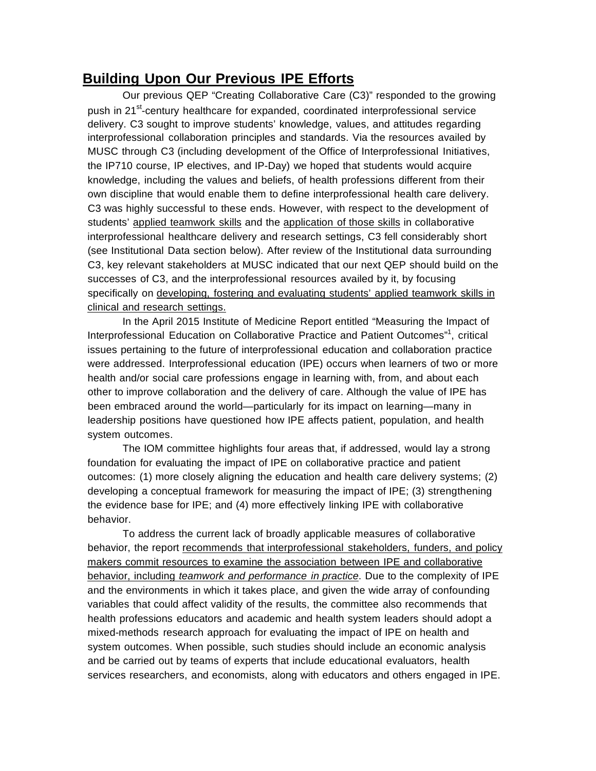## **Building Upon Our Previous IPE Efforts**

Our previous QEP "Creating Collaborative Care (C3)" responded to the growing push in 21<sup>st</sup>-century healthcare for expanded, coordinated interprofessional service delivery. C3 sought to improve students' knowledge, values, and attitudes regarding interprofessional collaboration principles and standards. Via the resources availed by MUSC through C3 (including development of the Office of Interprofessional Initiatives, the IP710 course, IP electives, and IP-Day) we hoped that students would acquire knowledge, including the values and beliefs, of health professions different from their own discipline that would enable them to define interprofessional health care delivery. C3 was highly successful to these ends. However, with respect to the development of students' applied teamwork skills and the application of those skills in collaborative interprofessional healthcare delivery and research settings, C3 fell considerably short (see Institutional Data section below). After review of the Institutional data surrounding C3, key relevant stakeholders at MUSC indicated that our next QEP should build on the successes of C3, and the interprofessional resources availed by it, by focusing specifically on developing, fostering and evaluating students' applied teamwork skills in clinical and research settings.

In the April 2015 Institute of Medicine Report entitled "Measuring the Impact of Interprofessional Education on Collaborative Practice and Patient Outcomes"<sup>1</sup>, critical issues pertaining to the future of interprofessional education and collaboration practice were addressed. Interprofessional education (IPE) occurs when learners of two or more health and/or social care professions engage in learning with, from, and about each other to improve collaboration and the delivery of care. Although the value of IPE has been embraced around the world—particularly for its impact on learning—many in leadership positions have questioned how IPE affects patient, population, and health system outcomes.

The IOM committee highlights four areas that, if addressed, would lay a strong foundation for evaluating the impact of IPE on collaborative practice and patient outcomes: (1) more closely aligning the education and health care delivery systems; (2) developing a conceptual framework for measuring the impact of IPE; (3) strengthening the evidence base for IPE; and (4) more effectively linking IPE with collaborative behavior.

To address the current lack of broadly applicable measures of collaborative behavior, the report recommends that interprofessional stakeholders, funders, and policy makers commit resources to examine the association between IPE and collaborative behavior, including *teamwork and performance in practice*. Due to the complexity of IPE and the environments in which it takes place, and given the wide array of confounding variables that could affect validity of the results, the committee also recommends that health professions educators and academic and health system leaders should adopt a mixed-methods research approach for evaluating the impact of IPE on health and system outcomes. When possible, such studies should include an economic analysis and be carried out by teams of experts that include educational evaluators, health services researchers, and economists, along with educators and others engaged in IPE.